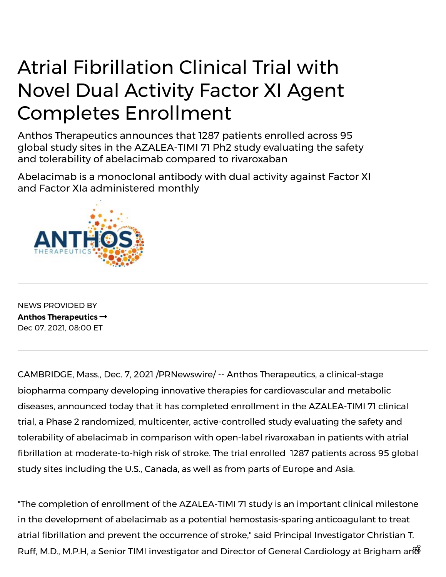## Atrial Fibrillation Clinical Trial with Novel Dual Activity Factor XI Agent Completes Enrollment

Anthos Therapeutics announces that 1287 patients enrolled across 95 global study sites in the AZALEA-TIMI 71 Ph2 study evaluating the safety and tolerability of abelacimab compared to rivaroxaban

Abelacimab is a monoclonal antibody with dual activity against Factor XI and Factor XIa administered monthly



NEWS PROVIDED BY **[Anthos Therapeutics](https://www.prnewswire.com/news/anthos-therapeutics/)**  Dec 07, 2021, 08:00 ET

CAMBRIDGE, Mass., Dec. 7, 2021 /PRNewswire/ -- Anthos Therapeutics, a clinical-stage biopharma company developing innovative therapies for cardiovascular and metabolic diseases, announced today that it has completed enrollment in the AZALEA-TIMI 71 clinical trial, a Phase 2 randomized, multicenter, active-controlled study evaluating the safety and tolerability of abelacimab in comparison with open-label rivaroxaban in patients with atrial fibrillation at moderate-to-high risk of stroke. The trial enrolled 1287 patients across 95 global study sites including the U.S., Canada, as well as from parts of Europe and Asia.

"The completion of enrollment of the AZALEA-TIMI 71 study is an important clinical milestone in the development of abelacimab as a potential hemostasis-sparing anticoagulant to treat atrial fibrillation and prevent the occurrence of stroke," said Principal Investigator Christian T. Ruff, M.D., M.P.H, a Senior TIMI investigator and Director of General Cardiology at Brigham and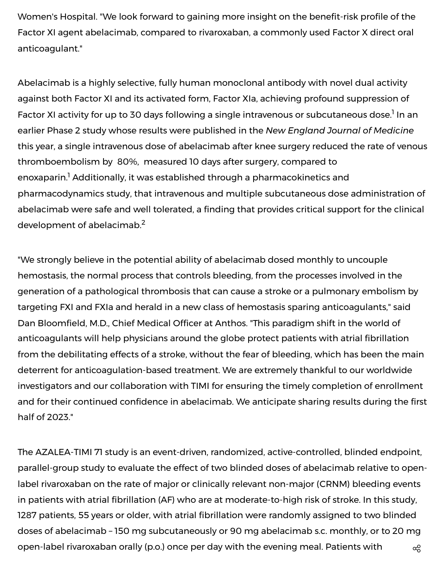Women's Hospital. "We look forward to gaining more insight on the benefit-risk profile of the Factor XI agent abelacimab, compared to rivaroxaban, a commonly used Factor X direct oral anticoagulant."

Abelacimab is a highly selective, fully human monoclonal antibody with novel dual activity against both Factor XI and its activated form, Factor XIa, achieving profound suppression of Factor XI activity for up to 30 days following a single intravenous or subcutaneous dose.<sup>1</sup> In an earlier Phase 2 study whose results were published in the *New England Journal of Medicine* this year, a single intravenous dose of abelacimab after knee surgery reduced the rate of venous thromboembolism by 80%, measured 10 days after surgery, compared to enoxaparin.<sup>1</sup> Additionally, it was established through a pharmacokinetics and pharmacodynamics study, that intravenous and multiple subcutaneous dose administration of abelacimab were safe and well tolerated, a finding that provides critical support for the clinical development of abelacimab. $^{\mathsf{2}}$ 

"We strongly believe in the potential ability of abelacimab dosed monthly to uncouple hemostasis, the normal process that controls bleeding, from the processes involved in the generation of a pathological thrombosis that can cause a stroke or a pulmonary embolism by targeting FXI and FXIa and herald in a new class of hemostasis sparing anticoagulants," said Dan Bloomfield, M.D., Chief Medical Officer at Anthos. "This paradigm shift in the world of anticoagulants will help physicians around the globe protect patients with atrial fibrillation from the debilitating effects of a stroke, without the fear of bleeding, which has been the main deterrent for anticoagulation-based treatment. We are extremely thankful to our worldwide investigators and our collaboration with TIMI for ensuring the timely completion of enrollment and for their continued confidence in abelacimab. We anticipate sharing results during the first half of 2023."

The AZALEA-TIMI 71 study is an event-driven, randomized, active-controlled, blinded endpoint, parallel-group study to evaluate the effect of two blinded doses of abelacimab relative to openlabel rivaroxaban on the rate of major or clinically relevant non-major (CRNM) bleeding events in patients with atrial fibrillation (AF) who are at moderate-to-high risk of stroke. In this study, 1287 patients, 55 years or older, with atrial fibrillation were randomly assigned to two blinded doses of abelacimab – 150 mg subcutaneously or 90 mg abelacimab s.c. monthly, or to 20 mg open-label rivaroxaban orally (p.o.) once per day with the evening meal. Patients with  $\alpha_0^{\circ}$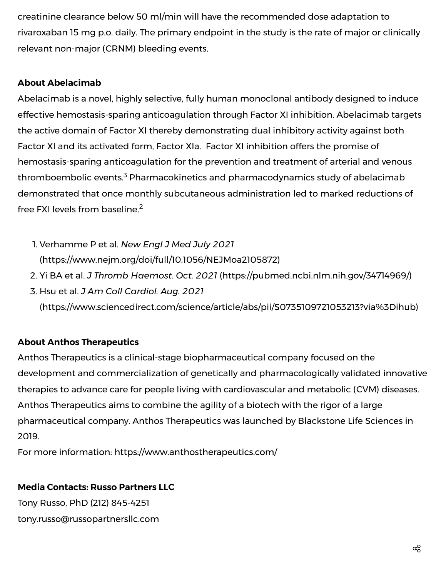creatinine clearance below 50 ml/min will have the recommended dose adaptation to rivaroxaban 15 mg p.o. daily. The primary endpoint in the study is the rate of major or clinically relevant non-major (CRNM) bleeding events.

## **About Abelacimab**

Abelacimab is a novel, highly selective, fully human monoclonal antibody designed to induce effective hemostasis-sparing anticoagulation through Factor XI inhibition. Abelacimab targets the active domain of Factor XI thereby demonstrating dual inhibitory activity against both Factor XI and its activated form, Factor XIa. Factor XI inhibition offers the promise of hemostasis-sparing anticoagulation for the prevention and treatment of arterial and venous thromboembolic events.<sup>3</sup> Pharmacokinetics and pharmacodynamics study of abelacimab demonstrated that once monthly subcutaneous administration led to marked reductions of free FXI levels from baseline. 2

- 1. Verhamme P et al. *New Engl J Med July 2021* ([https://www.nejm.org/doi/full/10.1056/NEJMoa2105872](https://c212.net/c/link/?t=0&l=en&o=3381451-1&h=3193778156&u=https%3A%2F%2Fwww.nejm.org%2Fdoi%2Ffull%2F10.1056%2FNEJMoa2105872&a=https%3A%2F%2Fwww.nejm.org%2Fdoi%2Ffull%2F10.1056%2FNEJMoa2105872))
- 2. Yi BA et al. *J Thromb Haemost. Oct. 2021* ([https://pubmed.ncbi.nlm.nih.gov/34714969/](https://c212.net/c/link/?t=0&l=en&o=3381451-1&h=3810990299&u=https%3A%2F%2Fpubmed.ncbi.nlm.nih.gov%2F34714969%2F&a=https%3A%2F%2Fpubmed.ncbi.nlm.nih.gov%2F34714969%2F))
- 3. Hsu et al. *J Am Coll Cardiol. Aug. 2021* ([https://www.sciencedirect.com/science/article/abs/pii/S0735109721053213?via%3Dihub\)](https://c212.net/c/link/?t=0&l=en&o=3381451-1&h=1713772318&u=https%3A%2F%2Fwww.sciencedirect.com%2Fscience%2Farticle%2Fabs%2Fpii%2FS0735109721053213%3Fvia%253Dihub&a=https%3A%2F%2Fwww.sciencedirect.com%2Fscience%2Farticle%2Fabs%2Fpii%2FS0735109721053213%3Fvia%253Dihub)

## **About Anthos Therapeutics**

Anthos Therapeutics is a clinical-stage biopharmaceutical company focused on the development and commercialization of genetically and pharmacologically validated innovative therapies to advance care for people living with cardiovascular and metabolic (CVM) diseases. Anthos Therapeutics aims to combine the agility of a biotech with the rigor of a large pharmaceutical company. Anthos Therapeutics was launched by Blackstone Life Sciences in 2019.

For more information: [https://www.anthostherapeutics.com/](https://c212.net/c/link/?t=0&l=en&o=3381451-1&h=3039283527&u=https%3A%2F%2Fwww.anthostherapeutics.com%2F&a=https%3A%2F%2Fwww.anthostherapeutics.com%2F)

## **Media Contacts: Russo Partners LLC**

Tony Russo, PhD (212) 845-4251 [tony.russo@russopartnersllc.com](mailto:tony.russo@russopartnersllc.com)